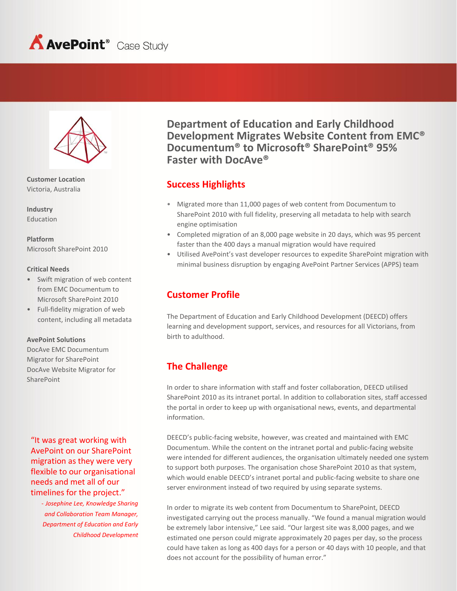



**Customer Location** Victoria, Australia

**Industry** Education

**Platform** Microsoft SharePoint 2010

#### **Critical Needs**

- Swift migration of web content from EMC Documentum to Microsoft SharePoint 2010
- Full-fidelity migration of web content, including all metadata

#### **AvePoint Solutions**

DocAve EMC Documentum Migrator for SharePoint DocAve Website Migrator for SharePoint

"It was great working with AvePoint on our SharePoint migration as they were very flexible to our organisational needs and met all of our timelines for the project."

- *Josephine Lee, Knowledge Sharing and Collaboration Team Manager, Department of Education and Early Childhood Development* **Department of Education and Early Childhood Development Migrates Website Content from EMC® Documentum® to Microsoft® SharePoint® 95% Faster with DocAve®**

#### **Success Highlights**

- Migrated more than 11,000 pages of web content from Documentum to SharePoint 2010 with full fidelity, preserving all metadata to help with search engine optimisation
- Completed migration of an 8,000 page website in 20 days, which was 95 percent faster than the 400 days a manual migration would have required
- Utilised AvePoint's vast developer resources to expedite SharePoint migration with minimal business disruption by engaging AvePoint Partner Services (APPS) team

#### **Customer Profile**

The Department of Education and Early Childhood Development (DEECD) offers learning and development support, services, and resources for all Victorians, from birth to adulthood.

# **The Challenge**

In order to share information with staff and foster collaboration, DEECD utilised SharePoint 2010 as its intranet portal. In addition to collaboration sites, staff accessed the portal in order to keep up with organisational news, events, and departmental information.

DEECD's public-facing website, however, was created and maintained with EMC Documentum. While the content on the intranet portal and public-facing website were intended for different audiences, the organisation ultimately needed one system to support both purposes. The organisation chose SharePoint 2010 as that system, which would enable DEECD's intranet portal and public-facing website to share one server environment instead of two required by using separate systems.

In order to migrate its web content from Documentum to SharePoint, DEECD investigated carrying out the process manually. "We found a manual migration would be extremely labor intensive," Lee said. "Our largest site was 8,000 pages, and we estimated one person could migrate approximately 20 pages per day, so the process could have taken as long as 400 days for a person or 40 days with 10 people, and that does not account for the possibility of human error."